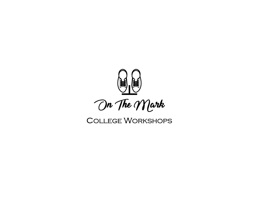

# **COLLEGE WORKSHOPS**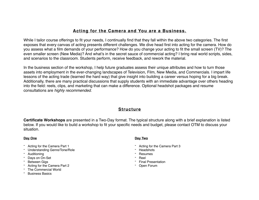# **Acting for the Camera and You are a Business.**

While I tailor course offerings to fit your needs, I continually find that they fall within the above two categories. The first exposes that every canvas of acting presents different challenges. We dive head first into acting for the camera. How do you assess what a film demands of your performance? How do you change your acting to fit the small screen (TV)? The even smaller screen (New Media)? And what's in the secret sauce of commercial acting? I bring real world scripts, sides, and scenarios to the classroom. Students perform, receive feedback, and rework the material.

In the business section of the workshop, I help future graduates assess their unique attributes and how to turn those assets into employment in the ever-changing landscapes of Television, Film, New Media, and Commercials. I impart life lessons of the acting trade (learned the hard way) that give insight into building a career versus hoping for a big break. Additionally, there are many practical discussions that supply students with an immediate advantage over others heading into the field: reels, clips, and marketing that can make a difference. Optional headshot packages and resume consultations are *highly recommended*.

## **Structure**

**Certificate Workshops** are presented in a Two-Day format. The typical structure along with a brief explanation is listed below. If you would like to build a workshop to fit your specific needs and budget, please contact OTM to discuss your situation.

## **Day One**

- Acting for the Camera Part 1
- Understanding Genre/Tone/Role
- Auditioning
- Days on On-Set
- Between Gias
- Acting for the Camera Part 2
- The Commercial World
- Business Basics

## **Day Two**

- Acting for the Camera Part 3
- Headshots
- Resumes
- Reel
	- Final Presentation
	- Open Forum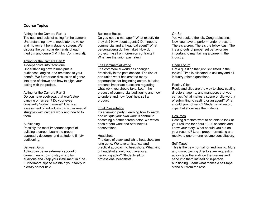#### **Course Topics**

#### Acting for the Camera Part 1:

The nuts and bolts of acting for the camera. Understanding how to modulate the voice and movement from stage to screen. We discuss the particular demands of each medium and genre (TV, Film, Commercial).

#### Acting for the Camera Part 2

A deeper dive into technique. Understanding how to manipulate audiences, angles, and emotions to your benefit. We further our discussion of genre into tone of shows and how to align your acting with the project.

#### Acting for the Camera Part 3

Do you have eyebrows that won't stop dancing on screen? Do your eyes constantly "spike" camera? This is an assessment of individuals particular needs/ struggles with camera work and how to fix them.

#### **Auditioning**

Possibly the most important aspect of building a career. Learn the proper approach, decorum, and attitude to film/tv auditioning.

#### Between Gigs

Acting can be an extremely sporadic career. Learn how to stay sharp for auditions and keep your instrument in tune. Furthermore, tips to maintain your sanity in a crazy career field.

#### Business Basics

Do you need a manager? What exactly do they do? How about agents? Do I need a commercial and a theatrical agent? What percentage(s) do they take? How do I protect myself on non-union contracts? What are the union pay rates?

#### The Commercial World

The commercial world has changed drastically in the past decade. The rise of non-union work has created many opportunities for beginning actors, but also presents important questions regarding what work you should take. Learn the process of commercial auditioning and how to understand how "you" help sell a product.

#### Final Presentation

It's a viewing party! Learning how to watch and critique your own work is central to becoming a better screen actor. We watch each others work and offer helpful observations.

#### **Headshots**

The days of black and white headshots are long gone. We take a historical and practical approach to headshots. What kind of headshot should you have as a beginning actor? Students sit for professional headshots.

#### On-Set

You've booked the job. Congratulations. Now you have to perform under pressure. There's a crew. There's the fellow cast. The ins and outs of proper set behavior are important to maintaining a career in the industry.

#### Open Forum

Got a question that just isn't listed in the topics? Time is allocated to ask any and all industry related questions.

#### Reels / Clips

Reels and clips are the way to show casting directors, agents, and managers that you can act! What makes a scene or clip worthy of submitting to casting or an agent? What should you not send? Students will record clips that showcase their talents.

#### Resumes

Casting directors want to be able to look at your resume for about 10-20 seconds and know your story. What should you put on your resume? Learn proper formatting and receive a one-on-one resume consultation.

#### Self-Tapes

This is the new normal for auditioning. More and more, casting directors are requesting actors tape the audition themselves and send it to them instead of in-person auditioning. Learn what makes a self-tape stand out from the rest.